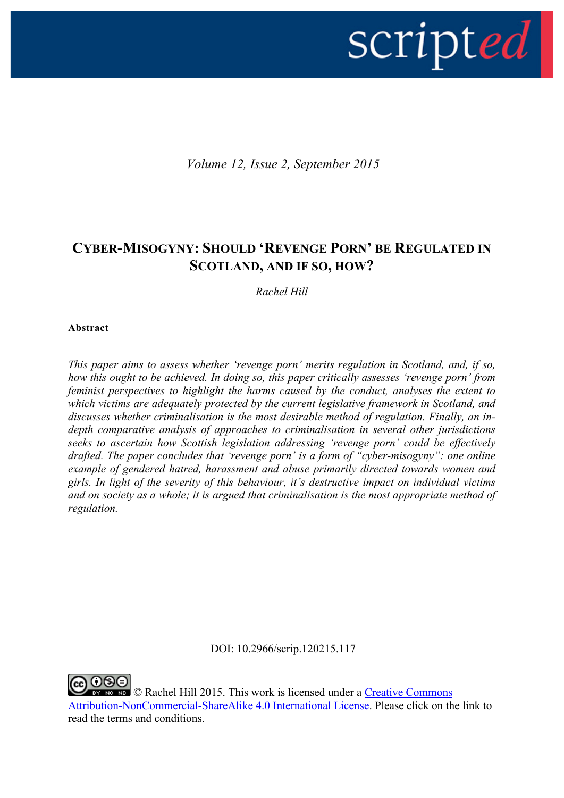

*Volume 12, Issue 2, September 2015*

# **CYBER-MISOGYNY: SHOULD 'REVENGE PORN' BE REGULATED IN SCOTLAND, AND IF SO, HOW?**

*Rachel Hill*

#### **Abstract**

*This paper aims to assess whether 'revenge porn' merits regulation in Scotland, and, if so, how this ought to be achieved. In doing so, this paper critically assesses 'revenge porn' from feminist perspectives to highlight the harms caused by the conduct, analyses the extent to which victims are adequately protected by the current legislative framework in Scotland, and discusses whether criminalisation is the most desirable method of regulation. Finally, an indepth comparative analysis of approaches to criminalisation in several other jurisdictions seeks to ascertain how Scottish legislation addressing 'revenge porn' could be effectively drafted. The paper concludes that 'revenge porn' is a form of "cyber-misogyny": one online example of gendered hatred, harassment and abuse primarily directed towards women and girls. In light of the severity of this behaviour, it's destructive impact on individual victims and on society as a whole; it is argued that criminalisation is the most appropriate method of regulation.*

DOI: 10.2966/scrip.120215.117

**ND** © Rachel Hill 2015. This work is licensed under a Creative Commons Attribution-NonCommercial-ShareAlike 4.0 International License. Please click on the link to read the terms and conditions.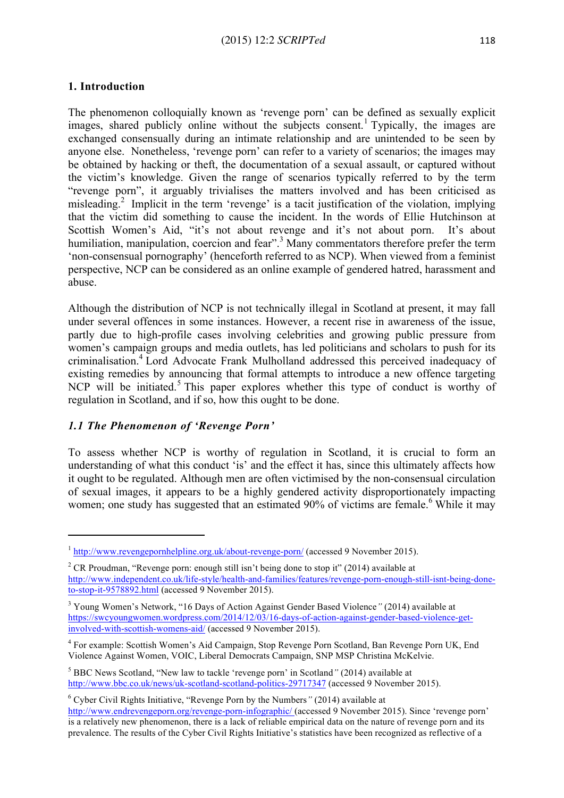The phenomenon colloquially known as 'revenge porn' can be defined as sexually explicit images, shared publicly online without the subjects consent.<sup>1</sup> Typically, the images are exchanged consensually during an intimate relationship and are unintended to be seen by anyone else. Nonetheless, 'revenge porn' can refer to a variety of scenarios; the images may be obtained by hacking or theft, the documentation of a sexual assault, or captured without the victim's knowledge. Given the range of scenarios typically referred to by the term "revenge porn", it arguably trivialises the matters involved and has been criticised as misleading. <sup>2</sup> Implicit in the term 'revenge' is a tacit justification of the violation, implying that the victim did something to cause the incident. In the words of Ellie Hutchinson at Scottish Women's Aid, "it's not about revenge and it's not about porn. It's about humiliation, manipulation, coercion and fear".<sup>3</sup> Many commentators therefore prefer the term 'non-consensual pornography' (henceforth referred to as NCP). When viewed from a feminist perspective, NCP can be considered as an online example of gendered hatred, harassment and abuse.

Although the distribution of NCP is not technically illegal in Scotland at present, it may fall under several offences in some instances. However, a recent rise in awareness of the issue, partly due to high-profile cases involving celebrities and growing public pressure from women's campaign groups and media outlets, has led politicians and scholars to push for its criminalisation.4 Lord Advocate Frank Mulholland addressed this perceived inadequacy of existing remedies by announcing that formal attempts to introduce a new offence targeting NCP will be initiated.<sup>5</sup> This paper explores whether this type of conduct is worthy of regulation in Scotland, and if so, how this ought to be done.

### *1.1 The Phenomenon of 'Revenge Porn'*

<u> 1989 - Johann Stein, fransk politiker (d. 1989)</u>

To assess whether NCP is worthy of regulation in Scotland, it is crucial to form an understanding of what this conduct 'is' and the effect it has, since this ultimately affects how it ought to be regulated. Although men are often victimised by the non-consensual circulation of sexual images, it appears to be a highly gendered activity disproportionately impacting women; one study has suggested that an estimated  $90\%$  of victims are female.<sup>6</sup> While it may

<sup>&</sup>lt;sup>1</sup> http://www.revengepornhelpline.org.uk/about-revenge-porn/ (accessed 9 November 2015).

<sup>&</sup>lt;sup>2</sup> CR Proudman, "Revenge porn: enough still isn't being done to stop it" (2014) available at http://www.independent.co.uk/life-style/health-and-families/features/revenge-porn-enough-still-isnt-being-doneto-stop-it-9578892.html (accessed 9 November 2015).

<sup>3</sup> Young Women's Network, "16 Days of Action Against Gender Based Violence*"* (2014) available at https://swcyoungwomen.wordpress.com/2014/12/03/16-days-of-action-against-gender-based-violence-getinvolved-with-scottish-womens-aid/ (accessed 9 November 2015).

<sup>4</sup> For example: Scottish Women's Aid Campaign, Stop Revenge Porn Scotland, Ban Revenge Porn UK, End Violence Against Women, VOIC, Liberal Democrats Campaign, SNP MSP Christina McKelvie.

<sup>5</sup> BBC News Scotland, "New law to tackle 'revenge porn' in Scotland*"* (2014) available at http://www.bbc.co.uk/news/uk-scotland-scotland-politics-29717347 (accessed 9 November 2015).

<sup>6</sup> Cyber Civil Rights Initiative, "Revenge Porn by the Numbers*"* (2014) available at http://www.endrevengeporn.org/revenge-porn-infographic/ (accessed 9 November 2015). Since 'revenge porn' is a relatively new phenomenon, there is a lack of reliable empirical data on the nature of revenge porn and its prevalence. The results of the Cyber Civil Rights Initiative's statistics have been recognized as reflective of a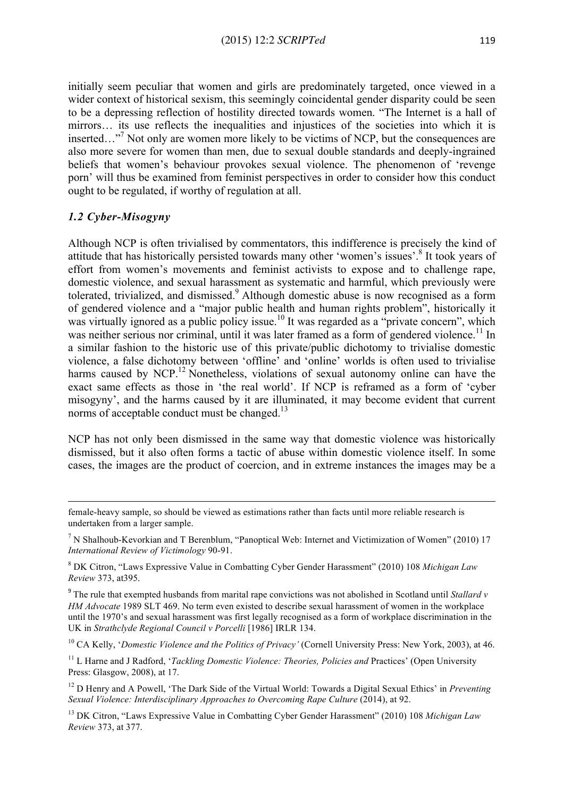initially seem peculiar that women and girls are predominately targeted, once viewed in a wider context of historical sexism, this seemingly coincidental gender disparity could be seen to be a depressing reflection of hostility directed towards women. "The Internet is a hall of mirrors… its use reflects the inequalities and injustices of the societies into which it is inserted..."<sup>7</sup> Not only are women more likely to be victims of NCP, but the consequences are also more severe for women than men, due to sexual double standards and deeply-ingrained beliefs that women's behaviour provokes sexual violence. The phenomenon of 'revenge porn' will thus be examined from feminist perspectives in order to consider how this conduct ought to be regulated, if worthy of regulation at all.

### *1.2 Cyber-Misogyny*

Although NCP is often trivialised by commentators, this indifference is precisely the kind of attitude that has historically persisted towards many other 'women's issues'.8 It took years of effort from women's movements and feminist activists to expose and to challenge rape, domestic violence, and sexual harassment as systematic and harmful, which previously were tolerated, trivialized, and dismissed.<sup>9</sup> Although domestic abuse is now recognised as a form of gendered violence and a "major public health and human rights problem", historically it was virtually ignored as a public policy issue.<sup>10</sup> It was regarded as a "private concern", which was neither serious nor criminal, until it was later framed as a form of gendered violence.<sup>11</sup> In a similar fashion to the historic use of this private/public dichotomy to trivialise domestic violence, a false dichotomy between 'offline' and 'online' worlds is often used to trivialise harms caused by NCP.<sup>12</sup> Nonetheless, violations of sexual autonomy online can have the exact same effects as those in 'the real world'. If NCP is reframed as a form of 'cyber misogyny', and the harms caused by it are illuminated, it may become evident that current norms of acceptable conduct must be changed.<sup>13</sup>

NCP has not only been dismissed in the same way that domestic violence was historically dismissed, but it also often forms a tactic of abuse within domestic violence itself. In some cases, the images are the product of coercion, and in extreme instances the images may be a

<u> 1989 - Andrea Santa Andrea Andrea Andrea Andrea Andrea Andrea Andrea Andrea Andrea Andrea Andrea Andrea Andr</u>

female-heavy sample, so should be viewed as estimations rather than facts until more reliable research is undertaken from a larger sample.

<sup>7</sup> N Shalhoub-Kevorkian and T Berenblum, "Panoptical Web: Internet and Victimization of Women" (2010) 17 *International Review of Victimology* 90-91.

<sup>8</sup> DK Citron, "Laws Expressive Value in Combatting Cyber Gender Harassment" (2010) 108 *Michigan Law Review* 373, at395.

<sup>9</sup> The rule that exempted husbands from marital rape convictions was not abolished in Scotland until *Stallard v HM Advocate* 1989 SLT 469. No term even existed to describe sexual harassment of women in the workplace until the 1970's and sexual harassment was first legally recognised as a form of workplace discrimination in the UK in *Strathclyde Regional Council v Porcelli* [1986] IRLR 134.

<sup>10</sup> CA Kelly, '*Domestic Violence and the Politics of Privacy'* (Cornell University Press: New York, 2003), at 46.

<sup>11</sup> L Harne and J Radford, '*Tackling Domestic Violence: Theories, Policies and* Practices' (Open University Press: Glasgow, 2008), at 17.

<sup>12</sup> D Henry and A Powell, 'The Dark Side of the Virtual World: Towards a Digital Sexual Ethics' in *Preventing Sexual Violence: Interdisciplinary Approaches to Overcoming Rape Culture* (2014), at 92.

<sup>13</sup> DK Citron, "Laws Expressive Value in Combatting Cyber Gender Harassment" (2010) 108 *Michigan Law Review* 373, at 377.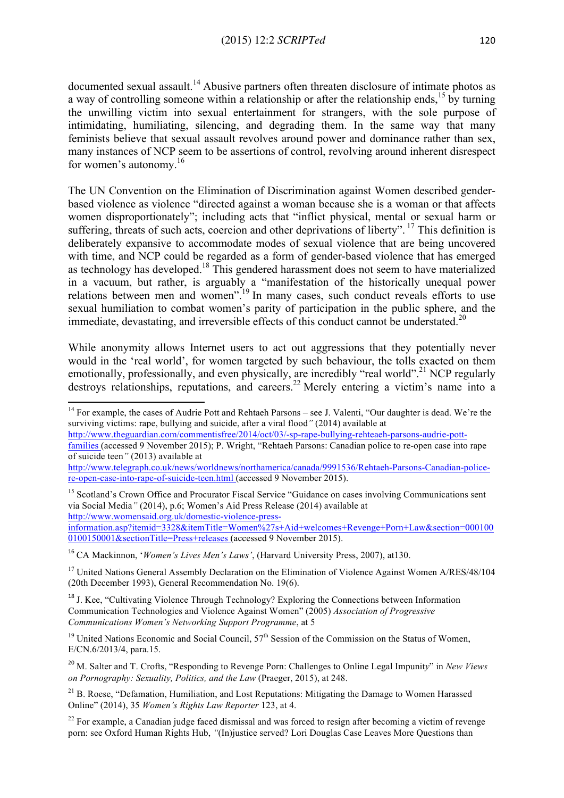documented sexual assault.<sup>14</sup> Abusive partners often threaten disclosure of intimate photos as a way of controlling someone within a relationship or after the relationship ends,  $^{15}$  by turning the unwilling victim into sexual entertainment for strangers, with the sole purpose of intimidating, humiliating, silencing, and degrading them. In the same way that many feminists believe that sexual assault revolves around power and dominance rather than sex, many instances of NCP seem to be assertions of control, revolving around inherent disrespect for women's autonomy.<sup>16</sup>

The UN Convention on the Elimination of Discrimination against Women described genderbased violence as violence "directed against a woman because she is a woman or that affects women disproportionately"; including acts that "inflict physical, mental or sexual harm or suffering, threats of such acts, coercion and other deprivations of liberty". <sup>17</sup> This definition is deliberately expansive to accommodate modes of sexual violence that are being uncovered with time, and NCP could be regarded as a form of gender-based violence that has emerged as technology has developed.18 This gendered harassment does not seem to have materialized in a vacuum, but rather, is arguably a "manifestation of the historically unequal power relations between men and women".<sup>19</sup> In many cases, such conduct reveals efforts to use sexual humiliation to combat women's parity of participation in the public sphere, and the immediate, devastating, and irreversible effects of this conduct cannot be understated.<sup>20</sup>

While anonymity allows Internet users to act out aggressions that they potentially never would in the 'real world', for women targeted by such behaviour, the tolls exacted on them emotionally, professionally, and even physically, are incredibly "real world".<sup>21</sup> NCP regularly destroys relationships, reputations, and careers. <sup>22</sup> Merely entering a victim's name into a

http://www.theguardian.com/commentisfree/2014/oct/03/-sp-rape-bullying-rehteaeh-parsons-audrie-pottfamilies (accessed 9 November 2015); P. Wright, "Rehtaeh Parsons: Canadian police to re-open case into rape of suicide teen*"* (2013) available at

http://www.telegraph.co.uk/news/worldnews/northamerica/canada/9991536/Rehtaeh-Parsons-Canadian-policere-open-case-into-rape-of-suicide-teen.html (accessed 9 November 2015).

<sup>15</sup> Scotland's Crown Office and Procurator Fiscal Service "Guidance on cases involving Communications sent via Social Media*"* (2014), p.6; Women's Aid Press Release (2014) available at http://www.womensaid.org.uk/domestic-violence-pressinformation.asp?itemid=3328&itemTitle=Women%27s+Aid+welcomes+Revenge+Porn+Law&section=000100 0100150001&sectionTitle=Press+releases (accessed 9 November 2015).

<sup>16</sup> CA Mackinnon, '*Women's Lives Men's Laws'*, (Harvard University Press, 2007), at130.

<u> 1989 - Johann Stein, fransk politiker (d. 1989)</u>

<sup>17</sup> United Nations General Assembly Declaration on the Elimination of Violence Against Women A/RES/48/104 (20th December 1993), General Recommendation No. 19(6).

<sup>18</sup> J. Kee, "Cultivating Violence Through Technology? Exploring the Connections between Information Communication Technologies and Violence Against Women" (2005) *Association of Progressive Communications Women's Networking Support Programme*, at 5

 $19$  United Nations Economic and Social Council,  $57<sup>th</sup>$  Session of the Commission on the Status of Women, E/CN.6/2013/4, para.15.

<sup>20</sup> M. Salter and T. Crofts, "Responding to Revenge Porn: Challenges to Online Legal Impunit*y*" in *New Views on Pornography: Sexuality, Politics, and the Law* (Praeger, 2015), at 248.

 $21$  B. Roese, "Defamation, Humiliation, and Lost Reputations: Mitigating the Damage to Women Harassed Online" (2014), 35 *Women's Rights Law Reporter* 123, at 4.

 $^{22}$  For example, a Canadian judge faced dismissal and was forced to resign after becoming a victim of revenge porn: see Oxford Human Rights Hub, *"*(In)justice served? Lori Douglas Case Leaves More Questions than

 $14$  For example, the cases of Audrie Pott and Rehtaeh Parsons – see J. Valenti, "Our daughter is dead. We're the surviving victims: rape, bullying and suicide, after a viral flood*"* (2014) available at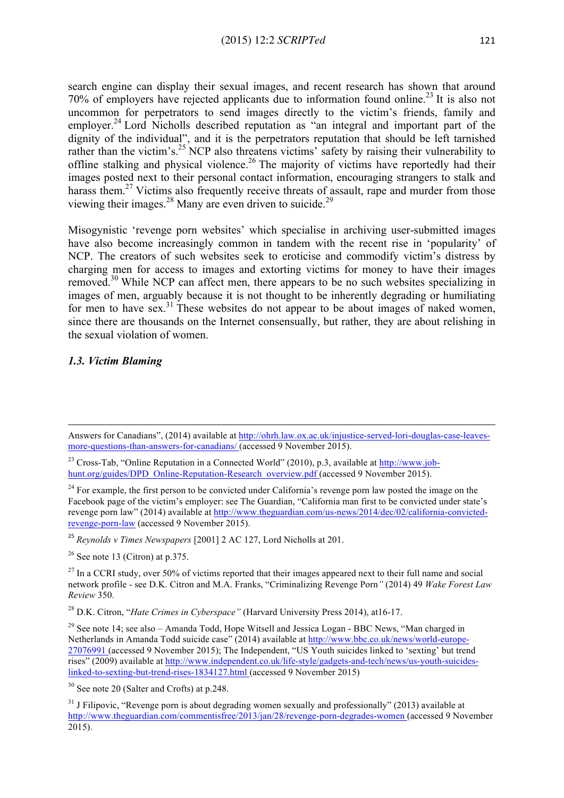search engine can display their sexual images, and recent research has shown that around 70% of employers have rejected applicants due to information found online.<sup>23</sup> It is also not uncommon for perpetrators to send images directly to the victim's friends, family and employer.<sup>24</sup> Lord Nicholls described reputation as "an integral and important part of the dignity of the individual", and it is the perpetrators reputation that should be left tarnished rather than the victim's.<sup>25</sup> NCP also threatens victims' safety by raising their vulnerability to offline stalking and physical violence.<sup>26</sup> The majority of victims have reportedly had their images posted next to their personal contact information, encouraging strangers to stalk and harass them.<sup>27</sup> Victims also frequently receive threats of assault, rape and murder from those viewing their images.<sup>28</sup> Many are even driven to suicide.<sup>29</sup>

Misogynistic 'revenge porn websites' which specialise in archiving user-submitted images have also become increasingly common in tandem with the recent rise in 'popularity' of NCP. The creators of such websites seek to eroticise and commodify victim's distress by charging men for access to images and extorting victims for money to have their images removed.<sup>30</sup> While NCP can affect men, there appears to be no such websites specializing in images of men, arguably because it is not thought to be inherently degrading or humiliating for men to have sex.<sup>31</sup> These websites do not appear to be about images of naked women, since there are thousands on the Internet consensually, but rather, they are about relishing in the sexual violation of women.

#### *1.3. Victim Blaming*

 $26$  See note 13 (Citron) at p.375.

<sup>28</sup> D.K. Citron, "*Hate Crimes in Cyberspace"* (Harvard University Press 2014), at16-17.

 Answers for Canadians", (2014) available at http://ohrh.law.ox.ac.uk/injustice-served-lori-douglas-case-leavesmore-questions-than-answers-for-canadians/ (accessed 9 November 2015).

<sup>&</sup>lt;sup>23</sup> Cross-Tab, "Online Reputation in a Connected World" (2010), p.3, available at http://www.jobhunt.org/guides/DPD\_Online-Reputation-Research\_overview.pdf (accessed 9 November 2015).

<sup>&</sup>lt;sup>24</sup> For example, the first person to be convicted under California's revenge porn law posted the image on the Facebook page of the victim's employer: see The Guardian, "California man first to be convicted under state's revenge porn law" (2014) available at http://www.theguardian.com/us-news/2014/dec/02/california-convictedrevenge-porn-law (accessed 9 November 2015).

<sup>25</sup> *Reynolds v Times Newspapers* [2001] 2 AC 127, Lord Nicholls at 201.

 $^{27}$  In a CCRI study, over 50% of victims reported that their images appeared next to their full name and social network profile - see D.K. Citron and M.A. Franks, "Criminalizing Revenge Porn*"* (2014) 49 *Wake Forest Law Review* 350.

 $29$  See note 14; see also – Amanda Todd, Hope Witsell and Jessica Logan - BBC News, "Man charged in Netherlands in Amanda Todd suicide case" (2014) available at http://www.bbc.co.uk/news/world-europe-27076991 (accessed 9 November 2015); The Independent, "US Youth suicides linked to 'sexting' but trend rises" (2009) available at http://www.independent.co.uk/life-style/gadgets-and-tech/news/us-youth-suicideslinked-to-sexting-but-trend-rises-1834127.html (accessed 9 November 2015)

<sup>30</sup> See note 20 (Salter and Crofts) at p.248.

<sup>&</sup>lt;sup>31</sup> J Filipovic, "Revenge porn is about degrading women sexually and professionally" (2013) available at http://www.theguardian.com/commentisfree/2013/jan/28/revenge-porn-degrades-women (accessed 9 November  $2015$ ).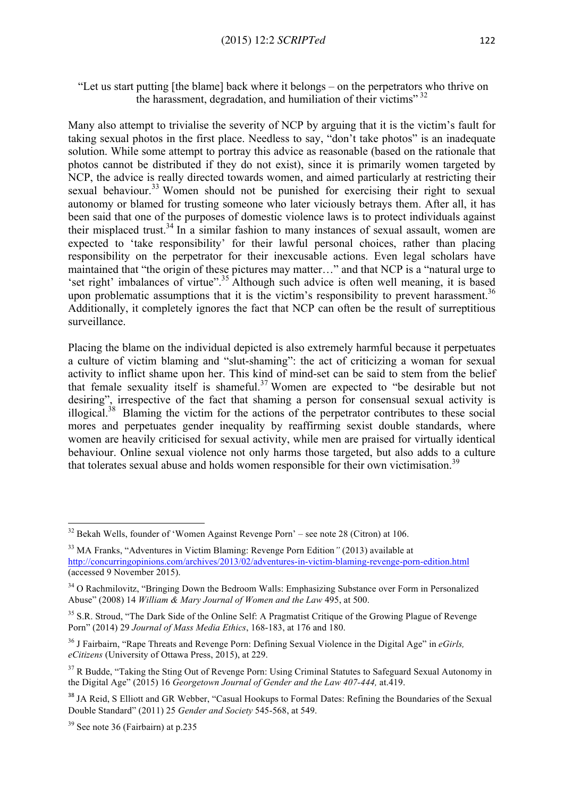#### "Let us start putting [the blame] back where it belongs – on the perpetrators who thrive on the harassment, degradation, and humiliation of their victims"  $32$

Many also attempt to trivialise the severity of NCP by arguing that it is the victim's fault for taking sexual photos in the first place. Needless to say, "don't take photos" is an inadequate solution. While some attempt to portray this advice as reasonable (based on the rationale that photos cannot be distributed if they do not exist), since it is primarily women targeted by NCP, the advice is really directed towards women, and aimed particularly at restricting their sexual behaviour.<sup>33</sup> Women should not be punished for exercising their right to sexual autonomy or blamed for trusting someone who later viciously betrays them. After all, it has been said that one of the purposes of domestic violence laws is to protect individuals against their misplaced trust.<sup>34</sup> In a similar fashion to many instances of sexual assault, women are expected to 'take responsibility' for their lawful personal choices, rather than placing responsibility on the perpetrator for their inexcusable actions. Even legal scholars have maintained that "the origin of these pictures may matter…" and that NCP is a "natural urge to 'set right' imbalances of virtue".35 Although such advice is often well meaning, it is based upon problematic assumptions that it is the victim's responsibility to prevent harassment.<sup>36</sup> Additionally, it completely ignores the fact that NCP can often be the result of surreptitious surveillance.

Placing the blame on the individual depicted is also extremely harmful because it perpetuates a culture of victim blaming and "slut-shaming": the act of criticizing a woman for sexual activity to inflict shame upon her. This kind of mind-set can be said to stem from the belief that female sexuality itself is shameful.<sup>37</sup> Women are expected to "be desirable but not desiring", irrespective of the fact that shaming a person for consensual sexual activity is illogical.<sup>38</sup> Blaming the victim for the actions of the perpetrator contributes to these social mores and perpetuates gender inequality by reaffirming sexist double standards, where women are heavily criticised for sexual activity, while men are praised for virtually identical behaviour. Online sexual violence not only harms those targeted, but also adds to a culture that tolerates sexual abuse and holds women responsible for their own victimisation.<sup>39</sup>

<u> 1989 - Johann Stein, fransk politiker (d. 1989)</u>

 $32$  Bekah Wells, founder of 'Women Against Revenge Porn' – see note 28 (Citron) at 106.

<sup>33</sup> MA Franks, "Adventures in Victim Blaming: Revenge Porn Edition*"* (2013) available at http://concurringopinions.com/archives/2013/02/adventures-in-victim-blaming-revenge-porn-edition.html (accessed 9 November 2015).

<sup>&</sup>lt;sup>34</sup> O Rachmilovitz, "Bringing Down the Bedroom Walls: Emphasizing Substance over Form in Personalized Abuse" (2008) 14 *William & Mary Journal of Women and the Law* 495, at 500.

<sup>&</sup>lt;sup>35</sup> S.R. Stroud, "The Dark Side of the Online Self: A Pragmatist Critique of the Growing Plague of Revenge Porn" (2014) 29 *Journal of Mass Media Ethics*, 168-183, at 176 and 180.

<sup>36</sup> J Fairbairn, "Rape Threats and Revenge Porn: Defining Sexual Violence in the Digital Age" in *eGirls, eCitizens* (University of Ottawa Press, 2015), at 229.

 $37$  R Budde, "Taking the Sting Out of Revenge Porn: Using Criminal Statutes to Safeguard Sexual Autonomy in the Digital Age" (2015) 16 *Georgetown Journal of Gender and the Law 407-444,* at.419.

<sup>&</sup>lt;sup>38</sup> JA Reid, S Elliott and GR Webber, "Casual Hookups to Formal Dates: Refining the Boundaries of the Sexual Double Standard" (2011) 25 *Gender and Society* 545-568, at 549.

<sup>39</sup> See note 36 (Fairbairn) at p.235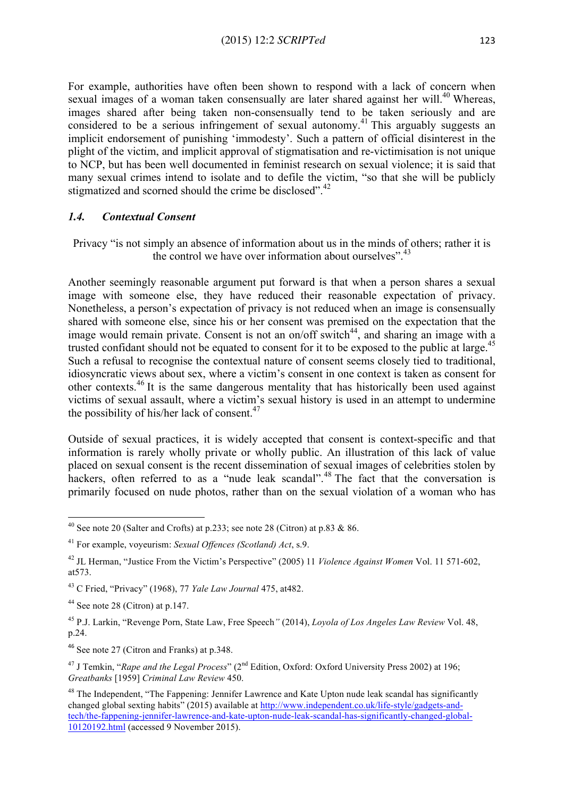For example, authorities have often been shown to respond with a lack of concern when sexual images of a woman taken consensually are later shared against her will.<sup>40</sup> Whereas, images shared after being taken non-consensually tend to be taken seriously and are considered to be a serious infringement of sexual autonomy.<sup>41</sup> This arguably suggests an implicit endorsement of punishing 'immodesty'. Such a pattern of official disinterest in the plight of the victim, and implicit approval of stigmatisation and re-victimisation is not unique to NCP, but has been well documented in feminist research on sexual violence; it is said that many sexual crimes intend to isolate and to defile the victim, "so that she will be publicly stigmatized and scorned should the crime be disclosed".<sup>42</sup>

#### *1.4. Contextual Consent*

Privacy "is not simply an absence of information about us in the minds of others; rather it is the control we have over information about ourselves".<sup>43</sup>

Another seemingly reasonable argument put forward is that when a person shares a sexual image with someone else, they have reduced their reasonable expectation of privacy. Nonetheless, a person's expectation of privacy is not reduced when an image is consensually shared with someone else, since his or her consent was premised on the expectation that the image would remain private. Consent is not an on/off switch $44$ , and sharing an image with a trusted confidant should not be equated to consent for it to be exposed to the public at large.<sup>45</sup> Such a refusal to recognise the contextual nature of consent seems closely tied to traditional, idiosyncratic views about sex, where a victim's consent in one context is taken as consent for other contexts.<sup>46</sup> It is the same dangerous mentality that has historically been used against victims of sexual assault, where a victim's sexual history is used in an attempt to undermine the possibility of his/her lack of consent. $47$ 

Outside of sexual practices, it is widely accepted that consent is context-specific and that information is rarely wholly private or wholly public. An illustration of this lack of value placed on sexual consent is the recent dissemination of sexual images of celebrities stolen by hackers, often referred to as a "nude leak scandal".<sup>48</sup> The fact that the conversation is primarily focused on nude photos, rather than on the sexual violation of a woman who has

<u> 1989 - Johann Stein, fransk politiker (d. 1989)</u>

<sup>&</sup>lt;sup>40</sup> See note 20 (Salter and Crofts) at p.233; see note 28 (Citron) at p.83 & 86.

<sup>41</sup> For example, voyeurism: *Sexual Offences (Scotland) Act*, s.9.

<sup>42</sup> JL Herman, "Justice From the Victim's Perspective" (2005) 11 *Violence Against Women* Vol. 11 571-602, at573.

<sup>43</sup> C Fried, "Privacy" (1968), 77 *Yale Law Journal* 475, at482.

 $44$  See note 28 (Citron) at p.147.

<sup>45</sup> P.J. Larkin, "Revenge Porn, State Law, Free Speech*"* (2014), *Loyola of Los Angeles Law Review* Vol. 48, p.24.

<sup>46</sup> See note 27 (Citron and Franks) at p.348.

<sup>&</sup>lt;sup>47</sup> J Temkin, "*Rape and the Legal Process*" (2<sup>nd</sup> Edition, Oxford: Oxford University Press 2002) at 196; *Greatbanks* [1959] *Criminal Law Review* 450.

<sup>&</sup>lt;sup>48</sup> The Independent, "The Fappening: Jennifer Lawrence and Kate Upton nude leak scandal has significantly changed global sexting habits" (2015) available at http://www.independent.co.uk/life-style/gadgets-andtech/the-fappening-jennifer-lawrence-and-kate-upton-nude-leak-scandal-has-significantly-changed-global-10120192.html (accessed 9 November 2015).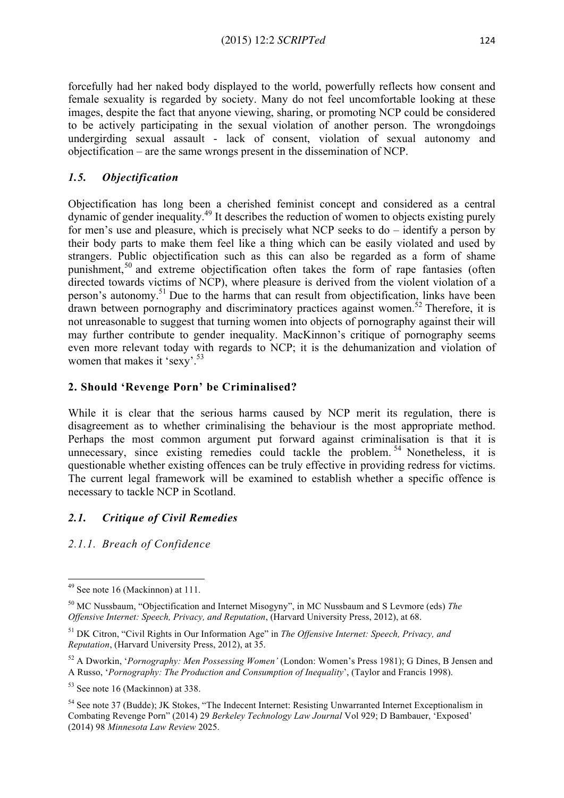forcefully had her naked body displayed to the world, powerfully reflects how consent and female sexuality is regarded by society. Many do not feel uncomfortable looking at these images, despite the fact that anyone viewing, sharing, or promoting NCP could be considered to be actively participating in the sexual violation of another person. The wrongdoings undergirding sexual assault - lack of consent, violation of sexual autonomy and objectification – are the same wrongs present in the dissemination of NCP.

# *1.5. Objectification*

Objectification has long been a cherished feminist concept and considered as a central dynamic of gender inequality. <sup>49</sup> It describes the reduction of women to objects existing purely for men's use and pleasure, which is precisely what NCP seeks to do – identify a person by their body parts to make them feel like a thing which can be easily violated and used by strangers. Public objectification such as this can also be regarded as a form of shame punishment,<sup>50</sup> and extreme objectification often takes the form of rape fantasies (often directed towards victims of NCP), where pleasure is derived from the violent violation of a person's autonomy.51 Due to the harms that can result from objectification, links have been drawn between pornography and discriminatory practices against women.<sup>52</sup> Therefore, it is not unreasonable to suggest that turning women into objects of pornography against their will may further contribute to gender inequality. MacKinnon's critique of pornography seems even more relevant today with regards to NCP; it is the dehumanization and violation of women that makes it 'sexy'.<sup>53</sup>

# **2. Should 'Revenge Porn' be Criminalised?**

While it is clear that the serious harms caused by NCP merit its regulation, there is disagreement as to whether criminalising the behaviour is the most appropriate method. Perhaps the most common argument put forward against criminalisation is that it is unnecessary, since existing remedies could tackle the problem.  $54$  Nonetheless, it is questionable whether existing offences can be truly effective in providing redress for victims. The current legal framework will be examined to establish whether a specific offence is necessary to tackle NCP in Scotland.

# *2.1. Critique of Civil Remedies*

*2.1.1. Breach of Confidence*

 <sup>49</sup> See note 16 (Mackinnon) at 111.

<sup>50</sup> MC Nussbaum, "Objectification and Internet Misogyny", in MC Nussbaum and S Levmore (eds) *The Offensive Internet: Speech, Privacy, and Reputation*, (Harvard University Press, 2012), at 68.

<sup>51</sup> DK Citron, "Civil Rights in Our Information Age" in *The Offensive Internet: Speech, Privacy, and Reputation*, (Harvard University Press, 2012), at 35.

<sup>52</sup> A Dworkin, '*Pornography: Men Possessing Women'* (London: Women's Press 1981); G Dines, B Jensen and A Russo, '*Pornography: The Production and Consumption of Inequality*', (Taylor and Francis 1998).

<sup>53</sup> See note 16 (Mackinnon) at 338.

<sup>&</sup>lt;sup>54</sup> See note 37 (Budde); JK Stokes, "The Indecent Internet: Resisting Unwarranted Internet Exceptionalism in Combating Revenge Porn" (2014) 29 *Berkeley Technology Law Journal* Vol 929; D Bambauer, 'Exposed' (2014) 98 *Minnesota Law Review* 2025.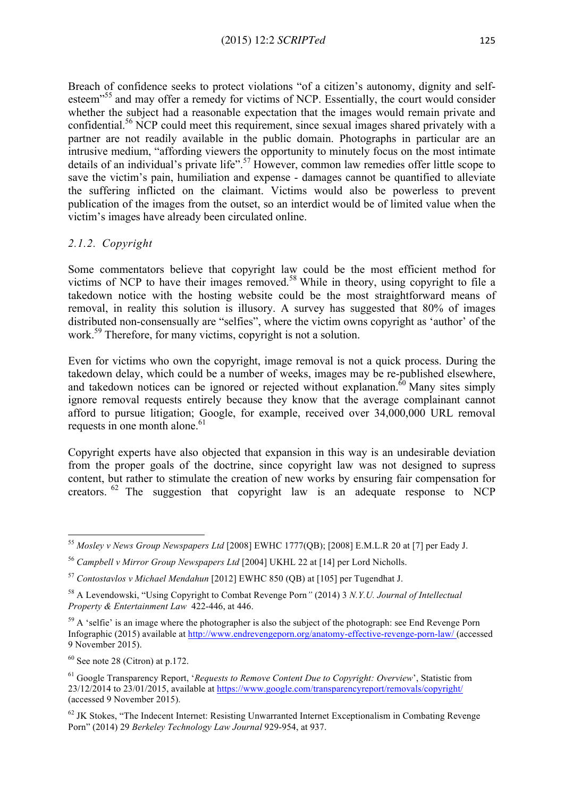Breach of confidence seeks to protect violations "of a citizen's autonomy, dignity and selfesteem<sup>"55</sup> and may offer a remedy for victims of NCP. Essentially, the court would consider whether the subject had a reasonable expectation that the images would remain private and confidential.56 NCP could meet this requirement, since sexual images shared privately with a partner are not readily available in the public domain. Photographs in particular are an intrusive medium, "affording viewers the opportunity to minutely focus on the most intimate details of an individual's private life".<sup>57</sup> However, common law remedies offer little scope to save the victim's pain, humiliation and expense - damages cannot be quantified to alleviate the suffering inflicted on the claimant. Victims would also be powerless to prevent publication of the images from the outset, so an interdict would be of limited value when the victim's images have already been circulated online.

#### *2.1.2. Copyright*

Some commentators believe that copyright law could be the most efficient method for victims of NCP to have their images removed. <sup>58</sup> While in theory, using copyright to file a takedown notice with the hosting website could be the most straightforward means of removal, in reality this solution is illusory. A survey has suggested that 80% of images distributed non-consensually are "selfies", where the victim owns copyright as 'author' of the work.<sup>59</sup> Therefore, for many victims, copyright is not a solution.

Even for victims who own the copyright, image removal is not a quick process. During the takedown delay, which could be a number of weeks, images may be re-published elsewhere, and takedown notices can be ignored or rejected without explanation. $\frac{60}{ }$  Many sites simply ignore removal requests entirely because they know that the average complainant cannot afford to pursue litigation; Google, for example, received over 34,000,000 URL removal requests in one month alone. 61

Copyright experts have also objected that expansion in this way is an undesirable deviation from the proper goals of the doctrine, since copyright law was not designed to supress content, but rather to stimulate the creation of new works by ensuring fair compensation for creators.  $62$  The suggestion that copyright law is an adequate response to NCP

<u> 1989 - Jan Samuel Barbara, margaret e</u>

<sup>55</sup> *Mosley v News Group Newspapers Ltd* [2008] EWHC 1777(QB); [2008] E.M.L.R 20 at [7] per Eady J.

<sup>56</sup> *Campbell v Mirror Group Newspapers Ltd* [2004] UKHL 22 at [14] per Lord Nicholls.

<sup>57</sup> *Contostavlos v Michael Mendahun* [2012] EWHC 850 (QB) at [105] per Tugendhat J.

<sup>58</sup> A Levendowski, "Using Copyright to Combat Revenge Porn*"* (2014) 3 *N.Y.U. Journal of Intellectual Property & Entertainment Law* 422-446, at 446.

 $59$  A 'selfie' is an image where the photographer is also the subject of the photograph: see End Revenge Porn Infographic (2015) available at http://www.endrevengeporn.org/anatomy-effective-revenge-porn-law/ (accessed 9 November 2015).

 $60$  See note 28 (Citron) at p.172.

<sup>61</sup> Google Transparency Report, '*Requests to Remove Content Due to Copyright: Overview*', Statistic from 23/12/2014 to 23/01/2015, available at https://www.google.com/transparencyreport/removals/copyright/ (accessed 9 November 2015).

<sup>&</sup>lt;sup>62</sup> JK Stokes. "The Indecent Internet: Resisting Unwarranted Internet Exceptionalism in Combating Revenge Porn" (2014) 29 *Berkeley Technology Law Journal* 929-954, at 937.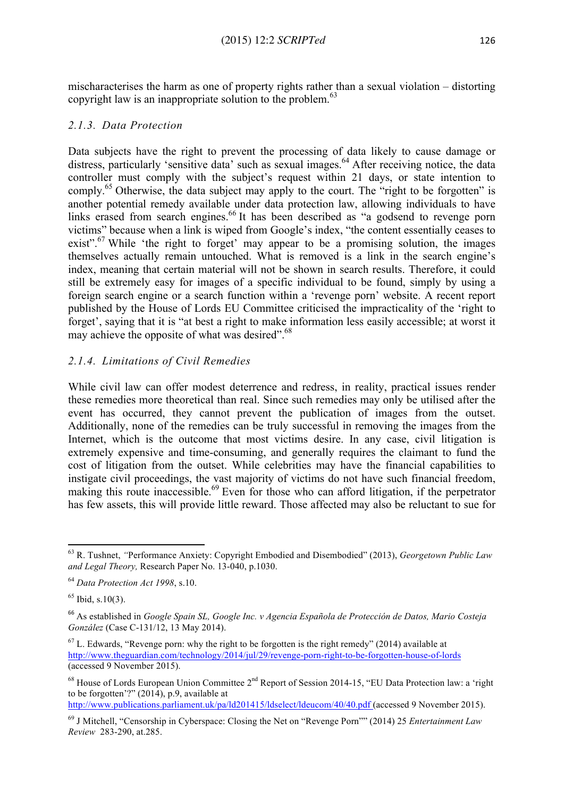mischaracterises the harm as one of property rights rather than a sexual violation – distorting copyright law is an inappropriate solution to the problem.<sup>63</sup>

### *2.1.3. Data Protection*

Data subjects have the right to prevent the processing of data likely to cause damage or distress, particularly 'sensitive data' such as sexual images.<sup>64</sup> After receiving notice, the data controller must comply with the subject's request within 21 days, or state intention to comply.<sup>65</sup> Otherwise, the data subject may apply to the court. The "right to be forgotten" is another potential remedy available under data protection law, allowing individuals to have links erased from search engines.<sup>66</sup> It has been described as "a godsend to revenge porn victims" because when a link is wiped from Google's index, "the content essentially ceases to exist".<sup>67</sup> While 'the right to forget' may appear to be a promising solution, the images themselves actually remain untouched. What is removed is a link in the search engine's index, meaning that certain material will not be shown in search results. Therefore, it could still be extremely easy for images of a specific individual to be found, simply by using a foreign search engine or a search function within a 'revenge porn' website. A recent report published by the House of Lords EU Committee criticised the impracticality of the 'right to forget', saying that it is "at best a right to make information less easily accessible; at worst it may achieve the opposite of what was desired".<sup>68</sup>

# *2.1.4. Limitations of Civil Remedies*

While civil law can offer modest deterrence and redress, in reality, practical issues render these remedies more theoretical than real. Since such remedies may only be utilised after the event has occurred, they cannot prevent the publication of images from the outset. Additionally, none of the remedies can be truly successful in removing the images from the Internet, which is the outcome that most victims desire. In any case, civil litigation is extremely expensive and time-consuming, and generally requires the claimant to fund the cost of litigation from the outset. While celebrities may have the financial capabilities to instigate civil proceedings, the vast majority of victims do not have such financial freedom, making this route inaccessible.<sup>69</sup> Even for those who can afford litigation, if the perpetrator has few assets, this will provide little reward. Those affected may also be reluctant to sue for

 

http://www.publications.parliament.uk/pa/ld201415/ldselect/ldeucom/40/40.pdf (accessed 9 November 2015).

<sup>63</sup> R. Tushnet, *"*Performance Anxiety: Copyright Embodied and Disembodied" (2013), *Georgetown Public Law and Legal Theory,* Research Paper No. 13-040, p.1030.

<sup>64</sup> *Data Protection Act 1998*, s.10.

 $65$  Ibid, s.10(3).

<sup>66</sup> As established in *Google Spain SL, Google Inc. v Agencia Española de Protección de Datos, Mario Costeja González* (Case C-131/12, 13 May 2014).

 $<sup>67</sup>$  L. Edwards, "Revenge porn: why the right to be forgotten is the right remedy" (2014) available at</sup> http://www.theguardian.com/technology/2014/jul/29/revenge-porn-right-to-be-forgotten-house-of-lords (accessed 9 November 2015).

<sup>&</sup>lt;sup>68</sup> House of Lords European Union Committee 2<sup>nd</sup> Report of Session 2014-15, "EU Data Protection law: a 'right to be forgotten'?" (2014), p.9, available at

<sup>69</sup> J Mitchell, "Censorship in Cyberspace: Closing the Net on "Revenge Porn"" (2014) 25 *Entertainment Law Review* 283-290, at.285.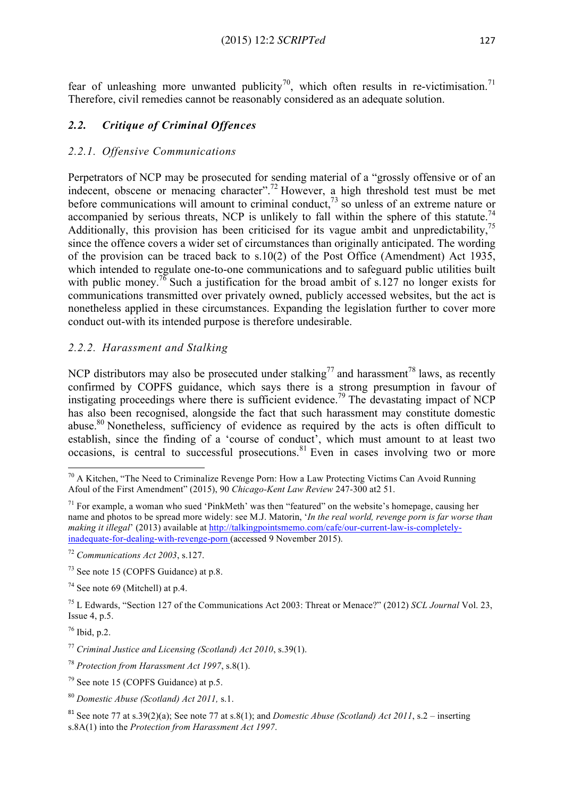fear of unleashing more unwanted publicity<sup>70</sup>, which often results in re-victimisation.<sup>71</sup> Therefore, civil remedies cannot be reasonably considered as an adequate solution.

# *2.2. Critique of Criminal Offences*

### *2.2.1. Offensive Communications*

Perpetrators of NCP may be prosecuted for sending material of a "grossly offensive or of an indecent, obscene or menacing character".<sup>72</sup> However, a high threshold test must be met before communications will amount to criminal conduct,  $\frac{73}{3}$  so unless of an extreme nature or accompanied by serious threats, NCP is unlikely to fall within the sphere of this statute.<sup>74</sup> Additionally, this provision has been criticised for its vague ambit and unpredictability,<sup>75</sup> since the offence covers a wider set of circumstances than originally anticipated. The wording of the provision can be traced back to s.10(2) of the Post Office (Amendment) Act 1935, which intended to regulate one-to-one communications and to safeguard public utilities built with public money.<sup>76</sup> Such a justification for the broad ambit of s.127 no longer exists for communications transmitted over privately owned, publicly accessed websites, but the act is nonetheless applied in these circumstances. Expanding the legislation further to cover more conduct out-with its intended purpose is therefore undesirable.

### *2.2.2. Harassment and Stalking*

NCP distributors may also be prosecuted under stalking<sup>77</sup> and harassment<sup>78</sup> laws, as recently confirmed by COPFS guidance, which says there is a strong presumption in favour of instigating proceedings where there is sufficient evidence. <sup>79</sup> The devastating impact of NCP has also been recognised, alongside the fact that such harassment may constitute domestic abuse.<sup>80</sup> Nonetheless, sufficiency of evidence as required by the acts is often difficult to establish, since the finding of a 'course of conduct', which must amount to at least two occasions, is central to successful prosecutions. <sup>81</sup> Even in cases involving two or more

<u> 1989 - Jan Samuel Barbara, margaret e</u>

 $76$  Ibid, p.2.

 $70$  A Kitchen, "The Need to Criminalize Revenge Porn: How a Law Protecting Victims Can Avoid Running Afoul of the First Amendment" (2015), 90 *Chicago-Kent Law Review* 247-300 at2 51.

 $71$  For example, a woman who sued 'PinkMeth' was then "featured" on the website's homepage, causing her name and photos to be spread more widely: see M.J. Matorin, '*In the real world, revenge porn is far worse than making it illegal*' (2013) available at http://talkingpointsmemo.com/cafe/our-current-law-is-completelyinadequate-for-dealing-with-revenge-porn (accessed 9 November 2015).

<sup>72</sup> *Communications Act 2003*, s.127.

<sup>73</sup> See note 15 (COPFS Guidance) at p.8.

 $74$  See note 69 (Mitchell) at p. 4.

<sup>75</sup> L Edwards, "Section 127 of the Communications Act 2003: Threat or Menace?" (2012) *SCL Journal* Vol. 23, Issue 4, p.5.

<sup>77</sup> *Criminal Justice and Licensing (Scotland) Act 2010*, s.39(1).

<sup>78</sup> *Protection from Harassment Act 1997*, s.8(1).

 $79$  See note 15 (COPFS Guidance) at p. 5.

<sup>80</sup> *Domestic Abuse (Scotland) Act 2011,* s.1.

<sup>81</sup> See note 77 at s.39(2)(a); See note 77 at s.8(1); and *Domestic Abuse (Scotland) Act 2011*, s.2 – inserting s.8A(1) into the *Protection from Harassment Act 1997*.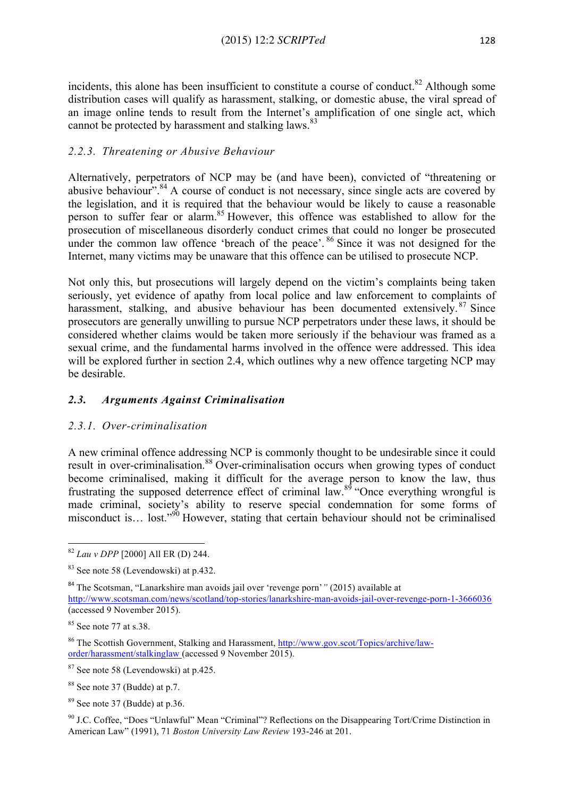incidents, this alone has been insufficient to constitute a course of conduct.<sup>82</sup> Although some distribution cases will qualify as harassment, stalking, or domestic abuse, the viral spread of an image online tends to result from the Internet's amplification of one single act, which cannot be protected by harassment and stalking laws.<sup>83</sup>

# *2.2.3. Threatening or Abusive Behaviour*

Alternatively, perpetrators of NCP may be (and have been), convicted of "threatening or abusive behaviour".  $84$  A course of conduct is not necessary, since single acts are covered by the legislation, and it is required that the behaviour would be likely to cause a reasonable person to suffer fear or alarm.<sup>85</sup> However, this offence was established to allow for the prosecution of miscellaneous disorderly conduct crimes that could no longer be prosecuted under the common law offence 'breach of the peace'.  $86$  Since it was not designed for the Internet, many victims may be unaware that this offence can be utilised to prosecute NCP.

Not only this, but prosecutions will largely depend on the victim's complaints being taken seriously, yet evidence of apathy from local police and law enforcement to complaints of harassment, stalking, and abusive behaviour has been documented extensively.<sup>87</sup> Since prosecutors are generally unwilling to pursue NCP perpetrators under these laws, it should be considered whether claims would be taken more seriously if the behaviour was framed as a sexual crime, and the fundamental harms involved in the offence were addressed. This idea will be explored further in section 2.4, which outlines why a new offence targeting NCP may be desirable.

# *2.3. Arguments Against Criminalisation*

### *2.3.1. Over-criminalisation*

A new criminal offence addressing NCP is commonly thought to be undesirable since it could result in over-criminalisation.<sup>88</sup> Over-criminalisation occurs when growing types of conduct become criminalised, making it difficult for the average person to know the law, thus frustrating the supposed deterrence effect of criminal law.<sup>89</sup> "Once everything wrongful is made criminal, society's ability to reserve special condemnation for some forms of misconduct is… lost."<sup>90</sup> However, stating that certain behaviour should not be criminalised

<sup>&</sup>lt;u> 1989 - Jan Samuel Barbara, margaret e</u> <sup>82</sup> *Lau v DPP* [2000] All ER (D) 244.

<sup>83</sup> See note 58 (Levendowski) at p.432.

<sup>84</sup> The Scotsman, "Lanarkshire man avoids jail over 'revenge porn'*"* (2015) available at

http://www.scotsman.com/news/scotland/top-stories/lanarkshire-man-avoids-jail-over-revenge-porn-1-3666036 (accessed 9 November 2015).

 $85$  See note 77 at s.38.

<sup>86</sup> The Scottish Government, Stalking and Harassment, http://www.gov.scot/Topics/archive/laworder/harassment/stalkinglaw (accessed 9 November 2015).

<sup>87</sup> See note 58 (Levendowski) at p.425.

<sup>88</sup> See note 37 (Budde) at p.7.

 $89$  See note 37 (Budde) at p. 36.

<sup>90</sup> J.C. Coffee, "Does "Unlawful" Mean "Criminal"? Reflections on the Disappearing Tort/Crime Distinction in American Law" (1991), 71 *Boston University Law Review* 193-246 at 201.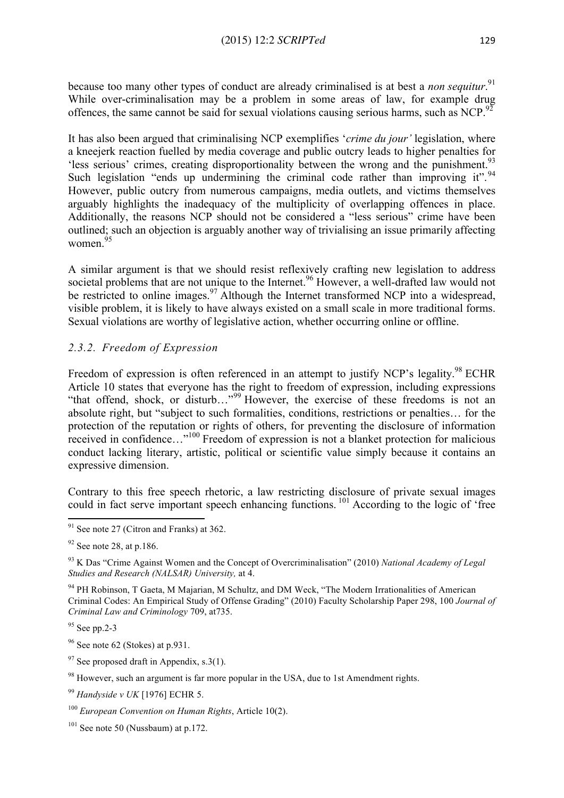because too many other types of conduct are already criminalised is at best a *non sequitur*.<sup>91</sup> While over-criminalisation may be a problem in some areas of law, for example drug offences, the same cannot be said for sexual violations causing serious harms, such as NCP.<sup>92</sup>

It has also been argued that criminalising NCP exemplifies '*crime du jour'* legislation, where a kneejerk reaction fuelled by media coverage and public outcry leads to higher penalties for 'less serious' crimes, creating disproportionality between the wrong and the punishment.<sup>93</sup> Such legislation "ends up undermining the criminal code rather than improving it". <sup>94</sup> However, public outcry from numerous campaigns, media outlets, and victims themselves arguably highlights the inadequacy of the multiplicity of overlapping offences in place. Additionally, the reasons NCP should not be considered a "less serious" crime have been outlined; such an objection is arguably another way of trivialising an issue primarily affecting women. 95

A similar argument is that we should resist reflexively crafting new legislation to address societal problems that are not unique to the Internet.<sup>96</sup> However, a well-drafted law would not be restricted to online images.<sup>97</sup> Although the Internet transformed NCP into a widespread, visible problem, it is likely to have always existed on a small scale in more traditional forms. Sexual violations are worthy of legislative action, whether occurring online or offline.

# *2.3.2. Freedom of Expression*

Freedom of expression is often referenced in an attempt to justify NCP's legality.<sup>98</sup> ECHR Article 10 states that everyone has the right to freedom of expression, including expressions "that offend, shock, or disturb…"<sup>99</sup> However, the exercise of these freedoms is not an absolute right, but "subject to such formalities, conditions, restrictions or penalties… for the protection of the reputation or rights of others, for preventing the disclosure of information received in confidence..."<sup>100</sup> Freedom of expression is not a blanket protection for malicious conduct lacking literary, artistic, political or scientific value simply because it contains an expressive dimension.

Contrary to this free speech rhetoric, a law restricting disclosure of private sexual images could in fact serve important speech enhancing functions.<sup>101</sup> According to the logic of 'free

<u> 1989 - Jan Samuel Barbara, margaret e</u>

<sup>94</sup> PH Robinson, T Gaeta, M Majarian, M Schultz, and DM Weck, "The Modern Irrationalities of American Criminal Codes: An Empirical Study of Offense Grading" (2010) Faculty Scholarship Paper 298, 100 *Journal of Criminal Law and Criminology* 709, at735.

<sup>95</sup> See pp.2-3

 $96$  See note 62 (Stokes) at p.931.

 $97$  See proposed draft in Appendix, s.3(1).

<sup>98</sup> However, such an argument is far more popular in the USA, due to 1st Amendment rights.

<sup>99</sup> *Handyside v UK* [1976] ECHR 5.

<sup>100</sup> *European Convention on Human Rights*, Article 10(2).

 $101$  See note 50 (Nussbaum) at p.172.

 $91$  See note 27 (Citron and Franks) at 362.

 $92$  See note 28, at p.186.

<sup>93</sup> K Das "Crime Against Women and the Concept of Overcriminalisation" (2010) *National Academy of Legal Studies and Research (NALSAR) University,* at 4.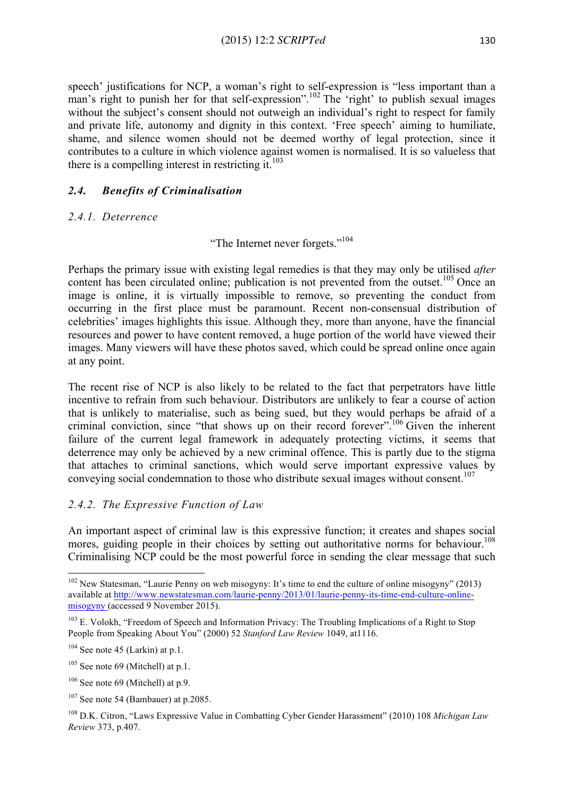speech' justifications for NCP, a woman's right to self-expression is "less important than a man's right to punish her for that self-expression".<sup>102</sup> The 'right' to publish sexual images without the subject's consent should not outweigh an individual's right to respect for family and private life, autonomy and dignity in this context. 'Free speech' aiming to humiliate, shame, and silence women should not be deemed worthy of legal protection, since it contributes to a culture in which violence against women is normalised. It is so valueless that there is a compelling interest in restricting it.<sup>103</sup>

### *2.4. Benefits of Criminalisation*

#### *2.4.1. Deterrence*

"The Internet never forgets."<sup>104</sup>

Perhaps the primary issue with existing legal remedies is that they may only be utilised *after* content has been circulated online; publication is not prevented from the outset.<sup>105</sup> Once an image is online, it is virtually impossible to remove, so preventing the conduct from occurring in the first place must be paramount. Recent non-consensual distribution of celebrities' images highlights this issue. Although they, more than anyone, have the financial resources and power to have content removed, a huge portion of the world have viewed their images. Many viewers will have these photos saved, which could be spread online once again at any point.

The recent rise of NCP is also likely to be related to the fact that perpetrators have little incentive to refrain from such behaviour. Distributors are unlikely to fear a course of action that is unlikely to materialise, such as being sued, but they would perhaps be afraid of a criminal conviction, since "that shows up on their record forever".<sup>106</sup> Given the inherent failure of the current legal framework in adequately protecting victims, it seems that deterrence may only be achieved by a new criminal offence. This is partly due to the stigma that attaches to criminal sanctions, which would serve important expressive values by conveying social condemnation to those who distribute sexual images without consent. 107

# *2.4.2. The Expressive Function of Law*

An important aspect of criminal law is this expressive function; it creates and shapes social mores, guiding people in their choices by setting out authoritative norms for behaviour.<sup>108</sup> Criminalising NCP could be the most powerful force in sending the clear message that such

 

<sup>&</sup>lt;sup>102</sup> New Statesman, "Laurie Penny on web misogyny: It's time to end the culture of online misogyny" (2013) available at http://www.newstatesman.com/laurie-penny/2013/01/laurie-penny-its-time-end-culture-onlinemisogyny (accessed 9 November 2015).

 $103$  E. Volokh, "Freedom of Speech and Information Privacy: The Troubling Implications of a Right to Stop People from Speaking About You" (2000) 52 *Stanford Law Review* 1049, at1116.

 $104$  See note 45 (Larkin) at p.1.

 $105$  See note 69 (Mitchell) at p.1.

 $106$  See note 69 (Mitchell) at p.9.

 $107$  See note 54 (Bambauer) at p.2085.

<sup>108</sup> D.K. Citron, "Laws Expressive Value in Combatting Cyber Gender Harassment" (2010) 108 *Michigan Law Review* 373, p.407.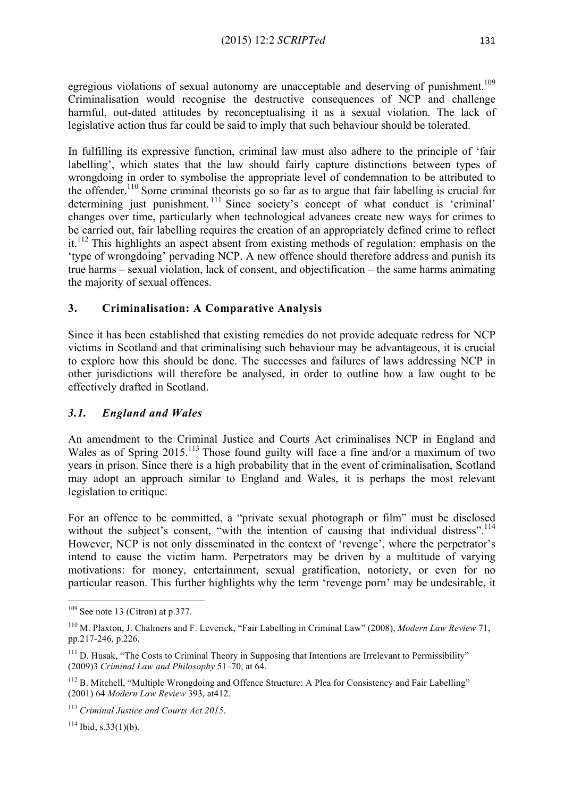egregious violations of sexual autonomy are unacceptable and deserving of punishment.<sup>109</sup> Criminalisation would recognise the destructive consequences of NCP and challenge harmful, out-dated attitudes by reconceptualising it as a sexual violation. The lack of legislative action thus far could be said to imply that such behaviour should be tolerated.

In fulfilling its expressive function, criminal law must also adhere to the principle of 'fair labelling', which states that the law should fairly capture distinctions between types of wrongdoing in order to symbolise the appropriate level of condemnation to be attributed to the offender.<sup>110</sup> Some criminal theorists go so far as to argue that fair labelling is crucial for determining just punishment.<sup>111</sup> Since society's concept of what conduct is 'criminal' changes over time, particularly when technological advances create new ways for crimes to be carried out, fair labelling requires the creation of an appropriately defined crime to reflect it.<sup>112</sup> This highlights an aspect absent from existing methods of regulation; emphasis on the 'type of wrongdoing' pervading NCP. A new offence should therefore address and punish its true harms – sexual violation, lack of consent, and objectification – the same harms animating the majority of sexual offences.

# **3. Criminalisation: A Comparative Analysis**

Since it has been established that existing remedies do not provide adequate redress for NCP victims in Scotland and that criminalising such behaviour may be advantageous, it is crucial to explore how this should be done. The successes and failures of laws addressing NCP in other jurisdictions will therefore be analysed, in order to outline how a law ought to be effectively drafted in Scotland.

### *3.1. England and Wales*

An amendment to the Criminal Justice and Courts Act criminalises NCP in England and Wales as of Spring 2015.<sup>113</sup> Those found guilty will face a fine and/or a maximum of two years in prison. Since there is a high probability that in the event of criminalisation, Scotland may adopt an approach similar to England and Wales, it is perhaps the most relevant legislation to critique.

For an offence to be committed, a "private sexual photograph or film" must be disclosed without the subject's consent, "with the intention of causing that individual distress".<sup>114</sup> However, NCP is not only disseminated in the context of 'revenge', where the perpetrator's intend to cause the victim harm. Perpetrators may be driven by a multitude of varying motivations: for money, entertainment, sexual gratification, notoriety, or even for no particular reason. This further highlights why the term 'revenge porn' may be undesirable, it

 $114$  Ibid, s.33(1)(b).

<sup>&</sup>lt;u> 1989 - Jan Samuel Barbara, margaret e</u>  $109$  See note 13 (Citron) at p.377.

<sup>110</sup> M. Plaxton, J. Chalmers and F. Leverick, "Fair Labelling in Criminal Law" (2008), *Modern Law Review* 71, pp.217-246, p.226.

<sup>&</sup>lt;sup>111</sup> D. Husak, "The Costs to Criminal Theory in Supposing that Intentions are Irrelevant to Permissibility" (2009)3 *Criminal Law and Philosophy* 51–70, at 64.

<sup>&</sup>lt;sup>112</sup> B. Mitchell, "Multiple Wrongdoing and Offence Structure: A Plea for Consistency and Fair Labelling" (2001) 64 *Modern Law Review* 393, at412.

<sup>113</sup> *Criminal Justice and Courts Act 2015*.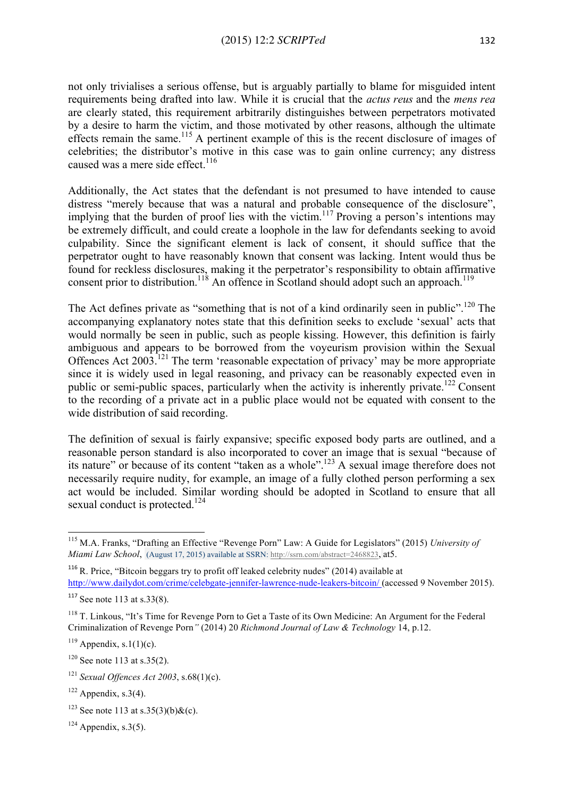not only trivialises a serious offense, but is arguably partially to blame for misguided intent requirements being drafted into law. While it is crucial that the *actus reus* and the *mens rea*  are clearly stated, this requirement arbitrarily distinguishes between perpetrators motivated by a desire to harm the victim, and those motivated by other reasons, although the ultimate effects remain the same.115 A pertinent example of this is the recent disclosure of images of celebrities; the distributor's motive in this case was to gain online currency; any distress caused was a mere side effect.<sup>116</sup>

Additionally, the Act states that the defendant is not presumed to have intended to cause distress "merely because that was a natural and probable consequence of the disclosure", implying that the burden of proof lies with the victim.<sup>117</sup> Proving a person's intentions may be extremely difficult, and could create a loophole in the law for defendants seeking to avoid culpability. Since the significant element is lack of consent, it should suffice that the perpetrator ought to have reasonably known that consent was lacking. Intent would thus be found for reckless disclosures, making it the perpetrator's responsibility to obtain affirmative consent prior to distribution.<sup>118</sup> An offence in Scotland should adopt such an approach.<sup>119</sup>

The Act defines private as "something that is not of a kind ordinarily seen in public".<sup>120</sup> The accompanying explanatory notes state that this definition seeks to exclude 'sexual' acts that would normally be seen in public, such as people kissing. However, this definition is fairly ambiguous and appears to be borrowed from the voyeurism provision within the Sexual Offences Act 2003.<sup>121</sup> The term 'reasonable expectation of privacy' may be more appropriate since it is widely used in legal reasoning, and privacy can be reasonably expected even in public or semi-public spaces, particularly when the activity is inherently private.<sup>122</sup> Consent to the recording of a private act in a public place would not be equated with consent to the wide distribution of said recording.

The definition of sexual is fairly expansive; specific exposed body parts are outlined, and a reasonable person standard is also incorporated to cover an image that is sexual "because of its nature" or because of its content "taken as a whole".123 A sexual image therefore does not necessarily require nudity, for example, an image of a fully clothed person performing a sex act would be included. Similar wording should be adopted in Scotland to ensure that all sexual conduct is protected.<sup>124</sup>

<u> 1989 - Jan Samuel Barbara, margaret e</u>

<sup>115</sup> M.A. Franks, "Drafting an Effective "Revenge Porn" Law: A Guide for Legislators" (2015) *University of Miami Law School*, (August 17, 2015) available at SSRN: http://ssrn.com/abstract=2468823, at5.

 $116$  R. Price, "Bitcoin beggars try to profit off leaked celebrity nudes" (2014) available at http://www.dailydot.com/crime/celebgate-jennifer-lawrence-nude-leakers-bitcoin/ (accessed 9 November 2015).

 $117$  See note 113 at s.33(8).

<sup>&</sup>lt;sup>118</sup> T. Linkous, "It's Time for Revenge Porn to Get a Taste of its Own Medicine: An Argument for the Federal Criminalization of Revenge Porn*"* (2014) 20 *Richmond Journal of Law & Technology* 14, p.12.

 $119$  Appendix, s.1(1)(c).

 $120$  See note 113 at s. 35(2).

<sup>121</sup> *Sexual Offences Act 2003*, s.68(1)(c).

 $122$  Appendix, s.3(4).

<sup>&</sup>lt;sup>123</sup> See note 113 at s.35(3)(b) & (c).

 $124$  Appendix, s.3(5).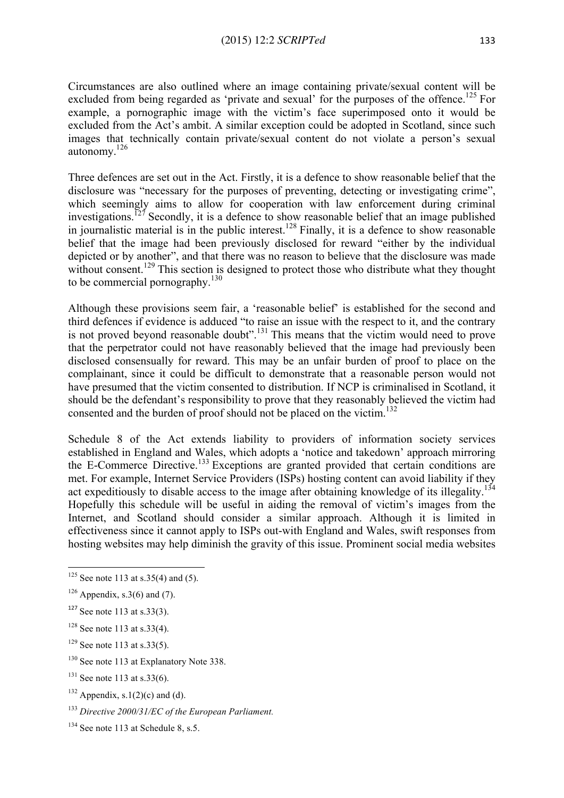Circumstances are also outlined where an image containing private/sexual content will be excluded from being regarded as 'private and sexual' for the purposes of the offence.<sup>125</sup> For example, a pornographic image with the victim's face superimposed onto it would be excluded from the Act's ambit. A similar exception could be adopted in Scotland, since such images that technically contain private/sexual content do not violate a person's sexual autonomy.126

Three defences are set out in the Act. Firstly, it is a defence to show reasonable belief that the disclosure was "necessary for the purposes of preventing, detecting or investigating crime", which seemingly aims to allow for cooperation with law enforcement during criminal investigations.<sup>127</sup> Secondly, it is a defence to show reasonable belief that an image published in journalistic material is in the public interest.<sup>128</sup> Finally, it is a defence to show reasonable belief that the image had been previously disclosed for reward "either by the individual depicted or by another", and that there was no reason to believe that the disclosure was made without consent.<sup>129</sup> This section is designed to protect those who distribute what they thought to be commercial pornography.<sup>130</sup>

Although these provisions seem fair, a 'reasonable belief' is established for the second and third defences if evidence is adduced "to raise an issue with the respect to it, and the contrary is not proved beyond reasonable doubt".<sup>131</sup> This means that the victim would need to prove that the perpetrator could not have reasonably believed that the image had previously been disclosed consensually for reward. This may be an unfair burden of proof to place on the complainant, since it could be difficult to demonstrate that a reasonable person would not have presumed that the victim consented to distribution. If NCP is criminalised in Scotland, it should be the defendant's responsibility to prove that they reasonably believed the victim had consented and the burden of proof should not be placed on the victim. 132

Schedule 8 of the Act extends liability to providers of information society services established in England and Wales, which adopts a 'notice and takedown' approach mirroring the E-Commerce Directive.<sup>133</sup> Exceptions are granted provided that certain conditions are met. For example, Internet Service Providers (ISPs) hosting content can avoid liability if they act expeditiously to disable access to the image after obtaining knowledge of its illegality.<sup>134</sup> Hopefully this schedule will be useful in aiding the removal of victim's images from the Internet, and Scotland should consider a similar approach. Although it is limited in effectiveness since it cannot apply to ISPs out-with England and Wales, swift responses from hosting websites may help diminish the gravity of this issue. Prominent social media websites

- $129$  See note 113 at s.33(5).
- <sup>130</sup> See note 113 at Explanatory Note 338.
- $131$  See note 113 at s.33(6).
- $132$  Appendix, s.1(2)(c) and (d).
- <sup>133</sup> *Directive 2000/31/EC of the European Parliament.*
- <sup>134</sup> See note 113 at Schedule 8, s.5.

<sup>&</sup>lt;u> 1989 - Jan Samuel Barbara, margaret e</u>  $125$  See note 113 at s.35(4) and (5).

 $126$  Appendix, s.3(6) and (7).

 $127$  See note 113 at s.33(3).

 $128$  See note 113 at s.33(4).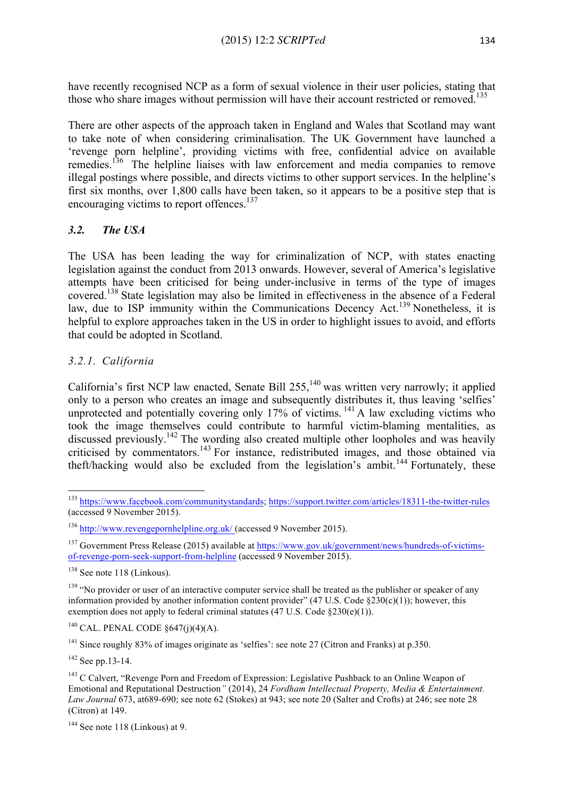have recently recognised NCP as a form of sexual violence in their user policies, stating that those who share images without permission will have their account restricted or removed.<sup>135</sup>

There are other aspects of the approach taken in England and Wales that Scotland may want to take note of when considering criminalisation. The UK Government have launched a 'revenge porn helpline', providing victims with free, confidential advice on available remedies.<sup>136</sup> The helpline liaises with law enforcement and media companies to remove illegal postings where possible, and directs victims to other support services. In the helpline's first six months, over 1,800 calls have been taken, so it appears to be a positive step that is encouraging victims to report offences.<sup>137</sup>

# *3.2. The USA*

The USA has been leading the way for criminalization of NCP, with states enacting legislation against the conduct from 2013 onwards. However, several of America's legislative attempts have been criticised for being under-inclusive in terms of the type of images covered. <sup>138</sup> State legislation may also be limited in effectiveness in the absence of a Federal law, due to ISP immunity within the Communications Decency Act.<sup>139</sup> Nonetheless, it is helpful to explore approaches taken in the US in order to highlight issues to avoid, and efforts that could be adopted in Scotland.

# *3.2.1. California*

California's first NCP law enacted, Senate Bill 255,<sup>140</sup> was written very narrowly; it applied only to a person who creates an image and subsequently distributes it, thus leaving 'selfies' unprotected and potentially covering only 17% of victims.<sup>141</sup> A law excluding victims who took the image themselves could contribute to harmful victim-blaming mentalities, as discussed previously.<sup>142</sup> The wording also created multiple other loopholes and was heavily criticised by commentators.<sup>143</sup> For instance, redistributed images, and those obtained via theft/hacking would also be excluded from the legislation's ambit.<sup>144</sup> Fortunately, these

 $140$  CAL. PENAL CODE  $§647(i)(4)(A)$ .

<sup>141</sup> Since roughly 83% of images originate as 'selfies': see note 27 (Citron and Franks) at p.350.

 $142$  See pp. 13-14.

<sup>&</sup>lt;u> 1989 - Jan Samuel Barbara, margaret e</u> <sup>135</sup> https://www.facebook.com/communitystandards; https://support.twitter.com/articles/18311-the-twitter-rules (accessed 9 November 2015).

<sup>136</sup> http://www.revengepornhelpline.org.uk/ (accessed 9 November 2015).

<sup>&</sup>lt;sup>137</sup> Government Press Release (2015) available at https://www.gov.uk/government/news/hundreds-of-victimsof-revenge-porn-seek-support-from-helpline (accessed 9 November 2015).

<sup>&</sup>lt;sup>138</sup> See note 118 (Linkous).

<sup>&</sup>lt;sup>139</sup> "No provider or user of an interactive computer service shall be treated as the publisher or speaker of any information provided by another information content provider"  $(47 \text{ U.S. Code } \S230(c)(1))$ ; however, this exemption does not apply to federal criminal statutes  $(47 \text{ U.S. Code } \S230(e)(1))$ .

<sup>&</sup>lt;sup>143</sup> C Calvert, "Revenge Porn and Freedom of Expression: Legislative Pushback to an Online Weapon of Emotional and Reputational Destruction*"* (2014), 24 *Fordham Intellectual Property, Media & Entertainment. Law Journal* 673, at689-690; see note 62 (Stokes) at 943; see note 20 (Salter and Crofts) at 246; see note 28 (Citron) at 149.

 $144$  See note 118 (Linkous) at 9.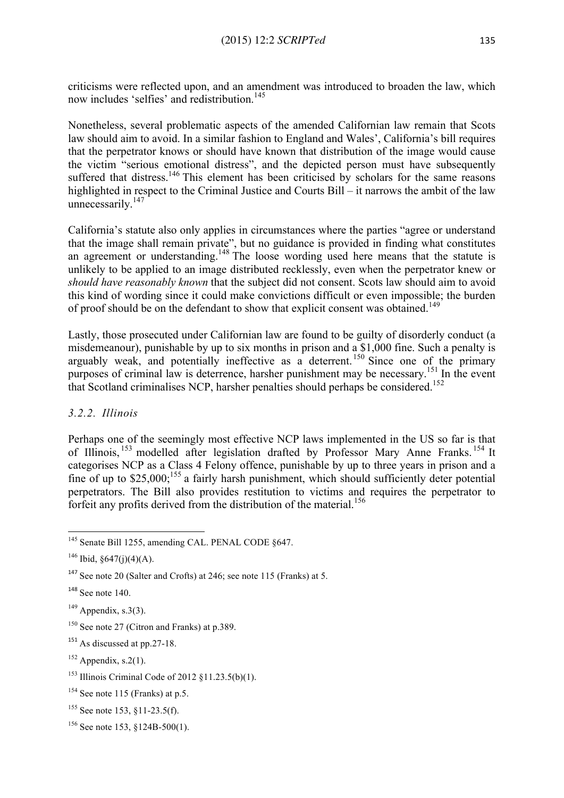criticisms were reflected upon, and an amendment was introduced to broaden the law, which now includes 'selfies' and redistribution. 145

Nonetheless, several problematic aspects of the amended Californian law remain that Scots law should aim to avoid. In a similar fashion to England and Wales', California's bill requires that the perpetrator knows or should have known that distribution of the image would cause the victim "serious emotional distress", and the depicted person must have subsequently suffered that distress.<sup>146</sup> This element has been criticised by scholars for the same reasons highlighted in respect to the Criminal Justice and Courts Bill – it narrows the ambit of the law unnecessarily.<sup>147</sup>

California's statute also only applies in circumstances where the parties "agree or understand that the image shall remain private", but no guidance is provided in finding what constitutes an agreement or understanding.<sup>148</sup> The loose wording used here means that the statute is unlikely to be applied to an image distributed recklessly, even when the perpetrator knew or *should have reasonably known* that the subject did not consent. Scots law should aim to avoid this kind of wording since it could make convictions difficult or even impossible; the burden of proof should be on the defendant to show that explicit consent was obtained.<sup>149</sup>

Lastly, those prosecuted under Californian law are found to be guilty of disorderly conduct (a misdemeanour), punishable by up to six months in prison and a \$1,000 fine. Such a penalty is arguably weak, and potentially ineffective as a deterrent.<sup>150</sup> Since one of the primary purposes of criminal law is deterrence, harsher punishment may be necessary.<sup>151</sup> In the event that Scotland criminalises NCP, harsher penalties should perhaps be considered.<sup>152</sup>

# *3.2.2. Illinois*

Perhaps one of the seemingly most effective NCP laws implemented in the US so far is that of Illinois,<sup>153</sup> modelled after legislation drafted by Professor Mary Anne Franks.<sup>154</sup> It categorises NCP as a Class 4 Felony offence, punishable by up to three years in prison and a fine of up to \$25,000;<sup>155</sup> a fairly harsh punishment, which should sufficiently deter potential perpetrators. The Bill also provides restitution to victims and requires the perpetrator to forfeit any profits derived from the distribution of the material.<sup>156</sup>

<sup>&</sup>lt;u> 1989 - Jan Samuel Barbara, margaret e</u> <sup>145</sup> Senate Bill 1255, amending CAL. PENAL CODE §647.

 $146$  Ibid,  $\frac{647(i)(4)(A)}{A}$ .

<sup>147</sup> See note 20 (Salter and Crofts) at 246; see note 115 (Franks) at 5.

 $148$  See note 140.

 $149$  Appendix, s.3(3).

<sup>&</sup>lt;sup>150</sup> See note 27 (Citron and Franks) at p.389.

 $151$  As discussed at pp. 27-18.

 $152$  Appendix, s.2(1).

<sup>153</sup> Illinois Criminal Code of 2012 §11.23.5(b)(1).

 $154$  See note 115 (Franks) at p.5.

<sup>&</sup>lt;sup>155</sup> See note 153, §11-23.5(f).

<sup>156</sup> See note 153, §124B-500(1).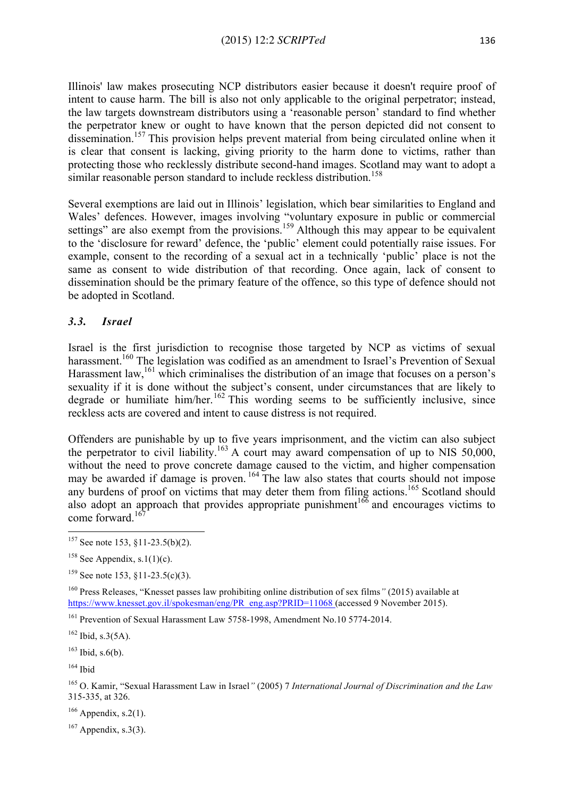Illinois' law makes prosecuting NCP distributors easier because it doesn't require proof of intent to cause harm. The bill is also not only applicable to the original perpetrator; instead, the law targets downstream distributors using a 'reasonable person' standard to find whether the perpetrator knew or ought to have known that the person depicted did not consent to dissemination.<sup>157</sup> This provision helps prevent material from being circulated online when it is clear that consent is lacking, giving priority to the harm done to victims, rather than protecting those who recklessly distribute second-hand images. Scotland may want to adopt a similar reasonable person standard to include reckless distribution.<sup>158</sup>

Several exemptions are laid out in Illinois' legislation, which bear similarities to England and Wales' defences. However, images involving "voluntary exposure in public or commercial settings" are also exempt from the provisions.<sup>159</sup> Although this may appear to be equivalent to the 'disclosure for reward' defence, the 'public' element could potentially raise issues. For example, consent to the recording of a sexual act in a technically 'public' place is not the same as consent to wide distribution of that recording. Once again, lack of consent to dissemination should be the primary feature of the offence, so this type of defence should not be adopted in Scotland.

#### *3.3. Israel*

Israel is the first jurisdiction to recognise those targeted by NCP as victims of sexual harassment.<sup>160</sup> The legislation was codified as an amendment to Israel's Prevention of Sexual Harassment law, <sup>161</sup> which criminalises the distribution of an image that focuses on a person's sexuality if it is done without the subject's consent, under circumstances that are likely to degrade or humiliate him/her.<sup>162</sup> This wording seems to be sufficiently inclusive, since reckless acts are covered and intent to cause distress is not required.

Offenders are punishable by up to five years imprisonment, and the victim can also subject the perpetrator to civil liability.<sup>163</sup> A court may award compensation of up to NIS 50,000, without the need to prove concrete damage caused to the victim, and higher compensation may be awarded if damage is proven.<sup>164</sup> The law also states that courts should not impose any burdens of proof on victims that may deter them from filing actions.<sup>165</sup> Scotland should also adopt an approach that provides appropriate punishment<sup> $166$ </sup> and encourages victims to come forward. 167

<sup>160</sup> Press Releases, "Knesset passes law prohibiting online distribution of sex films*"* (2015) available at https://www.knesset.gov.il/spokesman/eng/PR\_eng.asp?PRID=11068 (accessed 9 November 2015).

<sup>161</sup> Prevention of Sexual Harassment Law 5758-1998, Amendment No.10 5774-2014.

 $164$  Ibid

<sup>165</sup> O. Kamir, "Sexual Harassment Law in Israel*"* (2005) 7 *International Journal of Discrimination and the Law* 315-335, at 326.

 $166$  Appendix, s.2(1).

 $167$  Appendix, s.3(3).

<sup>&</sup>lt;u> 1989 - Jan Samuel Barbara, margaret e</u>  $157$  See note 153, §11-23.5(b)(2).

<sup>&</sup>lt;sup>158</sup> See Appendix, s.1(1)(c).

 $159$  See note 153,  $\frac{11-23.5(c)}{3}$ .

 $162$  Ibid, s.3(5A).

 $163$  Ibid, s. 6(b).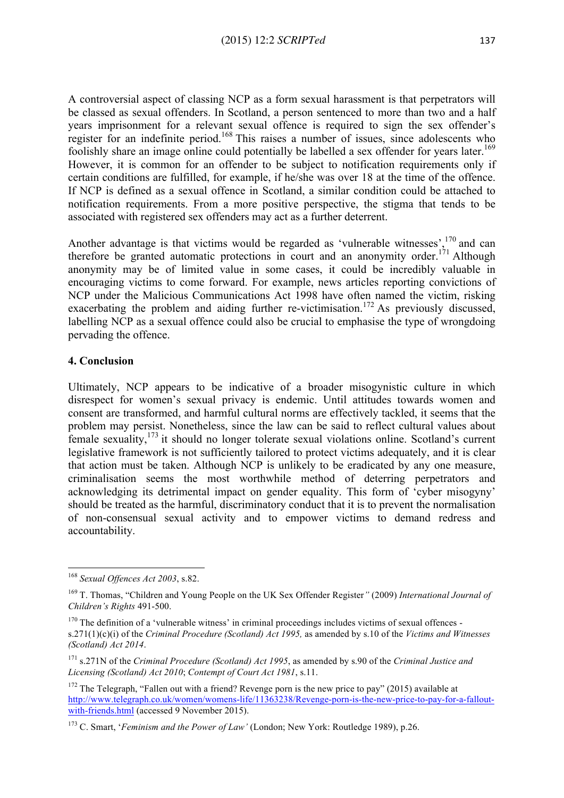A controversial aspect of classing NCP as a form sexual harassment is that perpetrators will be classed as sexual offenders. In Scotland, a person sentenced to more than two and a half years imprisonment for a relevant sexual offence is required to sign the sex offender's register for an indefinite period.<sup>168</sup> This raises a number of issues, since adolescents who foolishly share an image online could potentially be labelled a sex offender for years later.<sup>169</sup> However, it is common for an offender to be subject to notification requirements only if certain conditions are fulfilled, for example, if he/she was over 18 at the time of the offence. If NCP is defined as a sexual offence in Scotland, a similar condition could be attached to notification requirements. From a more positive perspective, the stigma that tends to be associated with registered sex offenders may act as a further deterrent.

Another advantage is that victims would be regarded as 'vulnerable witnesses', <sup>170</sup> and can therefore be granted automatic protections in court and an anonymity order.<sup>171</sup> Although anonymity may be of limited value in some cases, it could be incredibly valuable in encouraging victims to come forward. For example, news articles reporting convictions of NCP under the Malicious Communications Act 1998 have often named the victim, risking exacerbating the problem and aiding further re-victimisation.<sup>172</sup> As previously discussed, labelling NCP as a sexual offence could also be crucial to emphasise the type of wrongdoing pervading the offence.

#### **4. Conclusion**

Ultimately, NCP appears to be indicative of a broader misogynistic culture in which disrespect for women's sexual privacy is endemic. Until attitudes towards women and consent are transformed, and harmful cultural norms are effectively tackled, it seems that the problem may persist. Nonetheless, since the law can be said to reflect cultural values about female sexuality,<sup>173</sup> it should no longer tolerate sexual violations online. Scotland's current legislative framework is not sufficiently tailored to protect victims adequately, and it is clear that action must be taken. Although NCP is unlikely to be eradicated by any one measure, criminalisation seems the most worthwhile method of deterring perpetrators and acknowledging its detrimental impact on gender equality. This form of 'cyber misogyny' should be treated as the harmful, discriminatory conduct that it is to prevent the normalisation of non-consensual sexual activity and to empower victims to demand redress and accountability.

<sup>&</sup>lt;u> 1989 - Jan Samuel Barbara, margaret e</u> <sup>168</sup> *Sexual Offences Act 2003*, s.82.

<sup>169</sup> T. Thomas, "Children and Young People on the UK Sex Offender Register*"* (2009) *International Journal of Children's Rights* 491-500.

<sup>&</sup>lt;sup>170</sup> The definition of a 'vulnerable witness' in criminal proceedings includes victims of sexual offences s.271(1)(c)(i) of the *Criminal Procedure (Scotland) Act 1995,* as amended by s.10 of the *Victims and Witnesses (Scotland) Act 2014*.

<sup>171</sup> s.271N of the *Criminal Procedure (Scotland) Act 1995*, as amended by s.90 of the *Criminal Justice and Licensing (Scotland) Act 2010*; *Contempt of Court Act 1981*, s.11.

<sup>&</sup>lt;sup>172</sup> The Telegraph. "Fallen out with a friend? Revenge porn is the new price to pay" (2015) available at http://www.telegraph.co.uk/women/womens-life/11363238/Revenge-porn-is-the-new-price-to-pay-for-a-falloutwith-friends.html (accessed 9 November 2015).

<sup>173</sup> C. Smart, '*Feminism and the Power of Law'* (London; New York: Routledge 1989), p.26.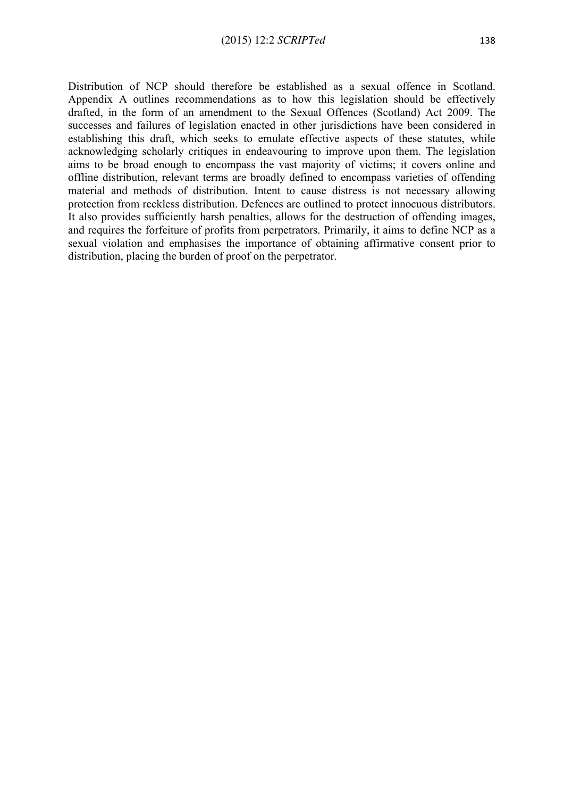Distribution of NCP should therefore be established as a sexual offence in Scotland. Appendix A outlines recommendations as to how this legislation should be effectively drafted, in the form of an amendment to the Sexual Offences (Scotland) Act 2009. The successes and failures of legislation enacted in other jurisdictions have been considered in establishing this draft, which seeks to emulate effective aspects of these statutes, while acknowledging scholarly critiques in endeavouring to improve upon them. The legislation aims to be broad enough to encompass the vast majority of victims; it covers online and offline distribution, relevant terms are broadly defined to encompass varieties of offending material and methods of distribution. Intent to cause distress is not necessary allowing protection from reckless distribution. Defences are outlined to protect innocuous distributors. It also provides sufficiently harsh penalties, allows for the destruction of offending images, and requires the forfeiture of profits from perpetrators. Primarily, it aims to define NCP as a sexual violation and emphasises the importance of obtaining affirmative consent prior to distribution, placing the burden of proof on the perpetrator.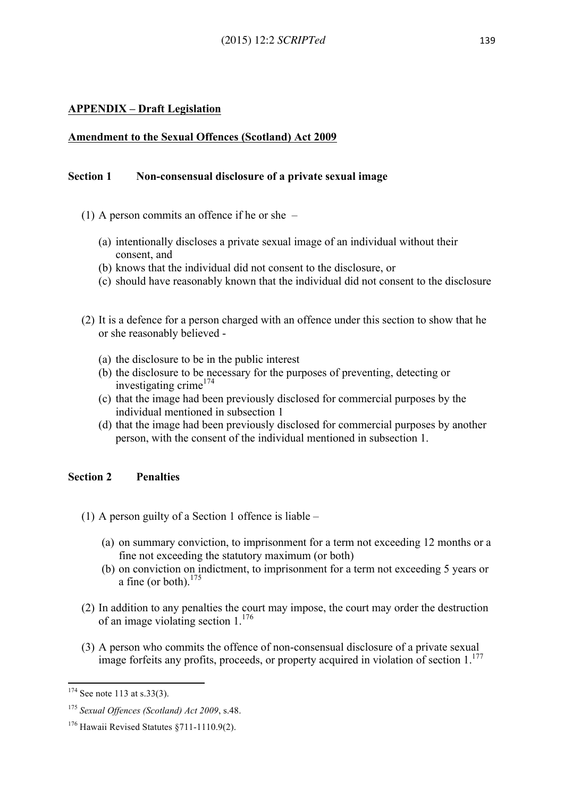# **APPENDIX – Draft Legislation**

### **Amendment to the Sexual Offences (Scotland) Act 2009**

#### **Section 1 Non-consensual disclosure of a private sexual image**

- (1) A person commits an offence if he or she
	- (a) intentionally discloses a private sexual image of an individual without their consent, and
	- (b) knows that the individual did not consent to the disclosure, or
	- (c) should have reasonably known that the individual did not consent to the disclosure
- (2) It is a defence for a person charged with an offence under this section to show that he or she reasonably believed -
	- (a) the disclosure to be in the public interest
	- (b) the disclosure to be necessary for the purposes of preventing, detecting or investigating crime<sup>174</sup>
	- (c) that the image had been previously disclosed for commercial purposes by the individual mentioned in subsection 1
	- (d) that the image had been previously disclosed for commercial purposes by another person, with the consent of the individual mentioned in subsection 1.

### **Section 2 Penalties**

- (1) A person guilty of a Section 1 offence is liable
	- (a) on summary conviction, to imprisonment for a term not exceeding 12 months or a fine not exceeding the statutory maximum (or both)
	- (b) on conviction on indictment, to imprisonment for a term not exceeding 5 years or a fine (or both). $175$
- (2) In addition to any penalties the court may impose, the court may order the destruction of an image violating section 1. 176
- (3) A person who commits the offence of non-consensual disclosure of a private sexual image forfeits any profits, proceeds, or property acquired in violation of section 1.<sup>177</sup>

<u> 1989 - Jan Samuel Barbara, margaret e</u>

 $174$  See note 113 at s.33(3).

<sup>175</sup> *Sexual Offences (Scotland) Act 2009*, s.48.

 $176$  Hawaii Revised Statutes  $8711 - 1110.9(2)$ .